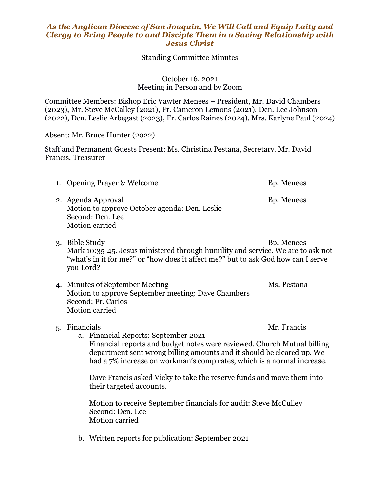## *As the Anglican Diocese of San Joaquin, We Will Call and Equip Laity and Clergy to Bring People to and Disciple Them in a Saving Relationship with Jesus Christ*

Standing Committee Minutes

October 16, 2021 Meeting in Person and by Zoom

Committee Members: Bishop Eric Vawter Menees – President, Mr. David Chambers (2023), Mr. Steve McCalley (2021), Fr. Cameron Lemons (2021), Dcn. Lee Johnson (2022), Dcn. Leslie Arbegast (2023), Fr. Carlos Raines (2024), Mrs. Karlyne Paul (2024)

Absent: Mr. Bruce Hunter (2022)

Staff and Permanent Guests Present: Ms. Christina Pestana, Secretary, Mr. David Francis, Treasurer

| 1. Opening Prayer & Welcome                                                                               | Bp. Menees |
|-----------------------------------------------------------------------------------------------------------|------------|
| 2. Agenda Approval<br>Motion to approve October agenda: Dcn. Leslie<br>Second: Dcn. Lee<br>Motion carried | Bp. Menees |

- 3. Bible Study Bp. Menees Mark 10:35-45. Jesus ministered through humility and service. We are to ask not "what's in it for me?" or "how does it affect me?" but to ask God how can I serve you Lord?
- 4. Minutes of September Meeting Ms. Pestana Motion to approve September meeting: Dave Chambers Second: Fr. Carlos Motion carried
- 5. Financials Mr. Francis

a. Financial Reports: September 2021 Financial reports and budget notes were reviewed. Church Mutual billing department sent wrong billing amounts and it should be cleared up. We had a 7% increase on workman's comp rates, which is a normal increase.

Dave Francis asked Vicky to take the reserve funds and move them into their targeted accounts.

Motion to receive September financials for audit: Steve McCulley Second: Dcn. Lee Motion carried

b. Written reports for publication: September 2021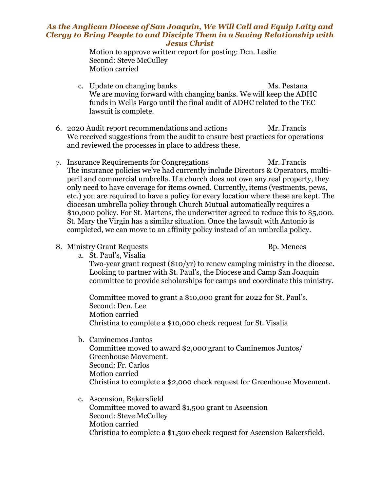## *As the Anglican Diocese of San Joaquin, We Will Call and Equip Laity and Clergy to Bring People to and Disciple Them in a Saving Relationship with Jesus Christ*

Motion to approve written report for posting: Dcn. Leslie Second: Steve McCulley Motion carried

- c. Update on changing banks Ms. Pestana We are moving forward with changing banks. We will keep the ADHC funds in Wells Fargo until the final audit of ADHC related to the TEC lawsuit is complete.
- 6. 2020 Audit report recommendations and actions Mr. Francis We received suggestions from the audit to ensure best practices for operations and reviewed the processes in place to address these.
- 7. Insurance Requirements for Congregations Mr. Francis The insurance policies we've had currently include Directors & Operators, multiperil and commercial umbrella. If a church does not own any real property, they only need to have coverage for items owned. Currently, items (vestments, pews, etc.) you are required to have a policy for every location where these are kept. The diocesan umbrella policy through Church Mutual automatically requires a \$10,000 policy. For St. Martens, the underwriter agreed to reduce this to \$5,000. St. Mary the Virgin has a similar situation. Once the lawsuit with Antonio is completed, we can move to an affinity policy instead of an umbrella policy.
- 8. Ministry Grant Requests Bp. Menees

a. St. Paul's, Visalia

Two-year grant request (\$10/yr) to renew camping ministry in the diocese. Looking to partner with St. Paul's, the Diocese and Camp San Joaquin committee to provide scholarships for camps and coordinate this ministry.

Committee moved to grant a \$10,000 grant for 2022 for St. Paul's. Second: Dcn. Lee Motion carried Christina to complete a \$10,000 check request for St. Visalia

b. Caminemos Juntos

Committee moved to award \$2,000 grant to Caminemos Juntos/ Greenhouse Movement. Second: Fr. Carlos Motion carried Christina to complete a \$2,000 check request for Greenhouse Movement.

c. Ascension, Bakersfield Committee moved to award \$1,500 grant to Ascension Second: Steve McCulley Motion carried Christina to complete a \$1,500 check request for Ascension Bakersfield.